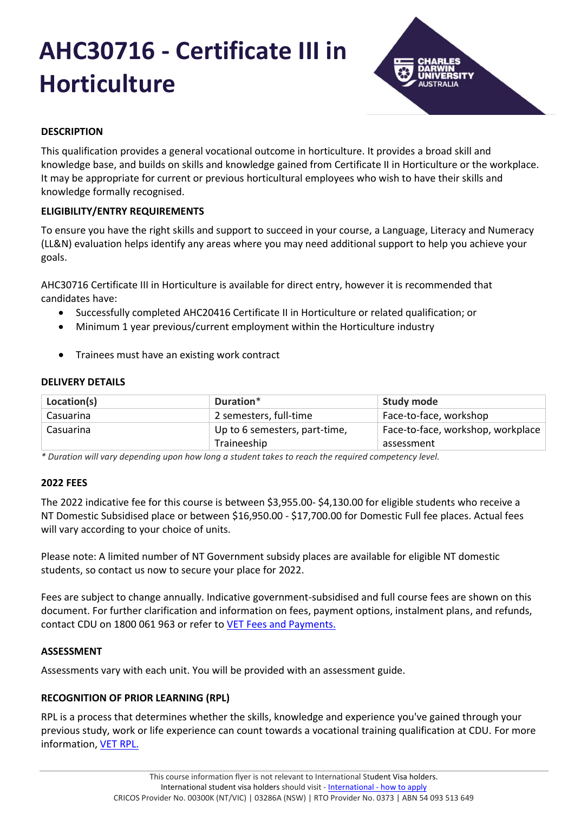# **AHC30716 - Certificate III in Horticulture**



# **DESCRIPTION**

This qualification provides a general vocational outcome in horticulture. It provides a broad skill and knowledge base, and builds on skills and knowledge gained from Certificate II in Horticulture or the workplace. It may be appropriate for current or previous horticultural employees who wish to have their skills and knowledge formally recognised.

# **ELIGIBILITY/ENTRY REQUIREMENTS**

To ensure you have the right skills and support to succeed in your course, a Language, Literacy and Numeracy (LL&N) evaluation helps identify any areas where you may need additional support to help you achieve your goals.

AHC30716 Certificate III in Horticulture is available for direct entry, however it is recommended that candidates have:

- Successfully completed AHC20416 Certificate II in Horticulture or related qualification; or
- Minimum 1 year previous/current employment within the Horticulture industry
- Trainees must have an existing work contract

## **DELIVERY DETAILS**

| Location(s) | Duration*                                    | <b>Study mode</b>                               |
|-------------|----------------------------------------------|-------------------------------------------------|
| Casuarina   | 2 semesters, full-time                       | Face-to-face, workshop                          |
| Casuarina   | Up to 6 semesters, part-time,<br>Traineeship | Face-to-face, workshop, workplace<br>assessment |

*\* Duration will vary depending upon how long a student takes to reach the required competency level.*

## **2022 FEES**

The 2022 indicative fee for this course is between \$3,955.00- \$4,130.00 for eligible students who receive a NT Domestic Subsidised place or between \$16,950.00 - \$17,700.00 for Domestic Full fee places. Actual fees will vary according to your choice of units.

Please note: A limited number of NT Government subsidy places are available for eligible NT domestic students, so contact us now to secure your place for 2022.

Fees are subject to change annually. Indicative government-subsidised and full course fees are shown on this document. For further clarification and information on fees, payment options, instalment plans, and refunds, contact CDU on 1800 061 963 or refer to [VET Fees and Payments.](https://www.cdu.edu.au/current-students/student-admin/fees-payments)

## **ASSESSMENT**

Assessments vary with each unit. You will be provided with an assessment guide.

# **RECOGNITION OF PRIOR LEARNING (RPL)**

RPL is a process that determines whether the skills, knowledge and experience you've gained through your previous study, work or life experience can count towards a vocational training qualification at CDU. For more information, [VET RPL.](https://www.cdu.edu.au/study/vocational-education-training/rpl)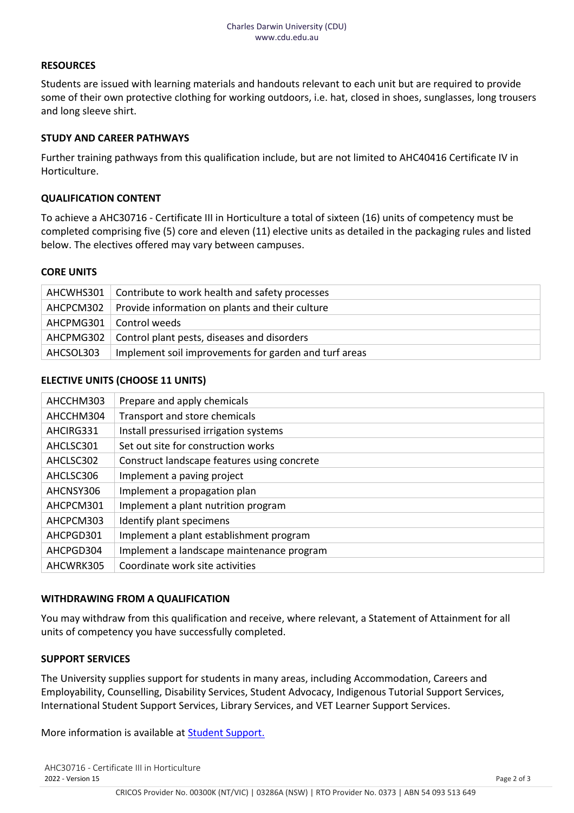### **RESOURCES**

Students are issued with learning materials and handouts relevant to each unit but are required to provide some of their own protective clothing for working outdoors, i.e. hat, closed in shoes, sunglasses, long trousers and long sleeve shirt.

#### **STUDY AND CAREER PATHWAYS**

Further training pathways from this qualification include, but are not limited to AHC40416 Certificate IV in Horticulture.

#### **QUALIFICATION CONTENT**

To achieve a AHC30716 - Certificate III in Horticulture a total of sixteen (16) units of competency must be completed comprising five (5) core and eleven (11) elective units as detailed in the packaging rules and listed below. The electives offered may vary between campuses.

#### **CORE UNITS**

|           | AHCWHS301   Contribute to work health and safety processes  |
|-----------|-------------------------------------------------------------|
|           | AHCPCM302   Provide information on plants and their culture |
|           | AHCPMG301   Control weeds                                   |
|           | AHCPMG302   Control plant pests, diseases and disorders     |
| AHCSOL303 | Implement soil improvements for garden and turf areas       |

#### **ELECTIVE UNITS (CHOOSE 11 UNITS)**

| AHCCHM303 | Prepare and apply chemicals                 |
|-----------|---------------------------------------------|
| AHCCHM304 | Transport and store chemicals               |
| AHCIRG331 | Install pressurised irrigation systems      |
| AHCLSC301 | Set out site for construction works         |
| AHCLSC302 | Construct landscape features using concrete |
| AHCLSC306 | Implement a paving project                  |
| AHCNSY306 | Implement a propagation plan                |
| AHCPCM301 | Implement a plant nutrition program         |
| AHCPCM303 | Identify plant specimens                    |
| AHCPGD301 | Implement a plant establishment program     |
| AHCPGD304 | Implement a landscape maintenance program   |
| AHCWRK305 | Coordinate work site activities             |
|           |                                             |

#### **WITHDRAWING FROM A QUALIFICATION**

You may withdraw from this qualification and receive, where relevant, a Statement of Attainment for all units of competency you have successfully completed.

#### **SUPPORT SERVICES**

The University supplies support for students in many areas, including Accommodation, Careers and Employability, Counselling, Disability Services, Student Advocacy, Indigenous Tutorial Support Services, International Student Support Services, Library Services, and VET Learner Support Services.

More information is available at **Student Support.**